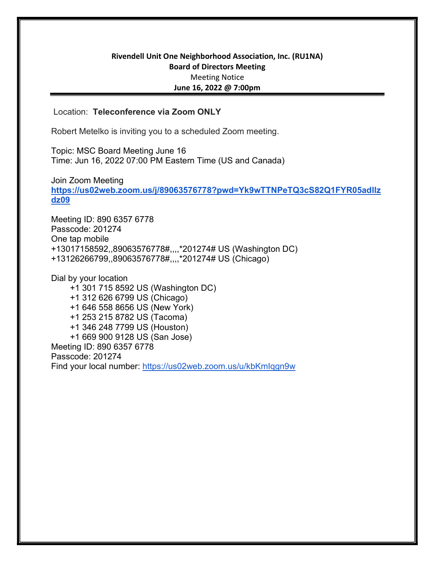## Rivendell Unit One Neighborhood Association, Inc. (RU1NA) Board of Directors Meeting Meeting Notice June 16, 2022 @ 7:00pm

## Location: Teleconference via Zoom ONLY

Robert Metelko is inviting you to a scheduled Zoom meeting.

Topic: MSC Board Meeting June 16 Time: Jun 16, 2022 07:00 PM Eastern Time (US and Canada)

Join Zoom Meeting https://us02web.zoom.us/j/89063576778?pwd=Yk9wTTNPeTQ3cS82Q1FYR05adllz dz09

Meeting ID: 890 6357 6778 Passcode: 201274 One tap mobile +13017158592,,89063576778#,,,,\*201274# US (Washington DC) +13126266799,,89063576778#,,,,\*201274# US (Chicago)

Dial by your location +1 301 715 8592 US (Washington DC) +1 312 626 6799 US (Chicago) +1 646 558 8656 US (New York) +1 253 215 8782 US (Tacoma) +1 346 248 7799 US (Houston) +1 669 900 9128 US (San Jose) Meeting ID: 890 6357 6778 Passcode: 201274 Find your local number: https://us02web.zoom.us/u/kbKmIqgn9w